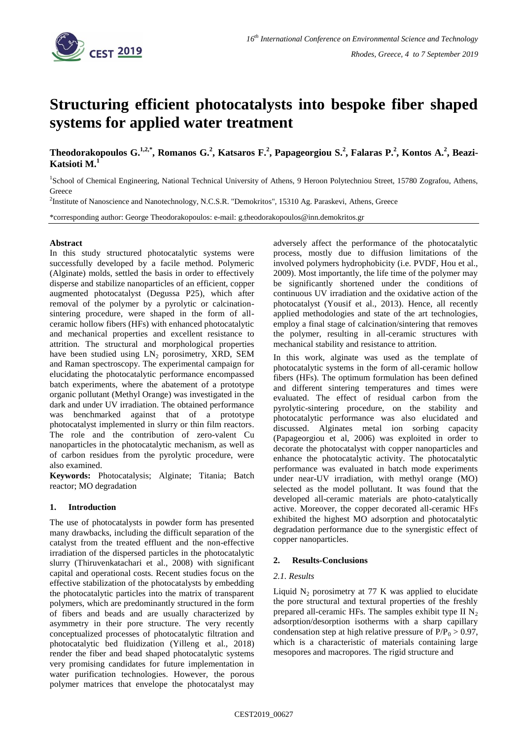

# **Structuring efficient photocatalysts into bespoke fiber shaped systems for applied water treatment**

**Theodorakopoulos G. 1,2,\* , Romanos G. 2 , Katsaros F. 2 , Papageorgiou S.<sup>2</sup> , Falaras P.<sup>2</sup> , Kontos A.<sup>2</sup> , Beazi-Katsioti M. 1**

<sup>1</sup>School of Chemical Engineering, National Technical University of Athens, 9 Heroon Polytechniou Street, 15780 Zografou, Athens, **Greece** 

<sup>2</sup>Institute of Nanoscience and Nanotechnology, N.C.S.R. "Demokritos", 15310 Ag. Paraskevi, Athens, Greece

\*corresponding author: George Theodorakopoulos: e-mail: g.theodorakopoulos@inn.demokritos.gr

## **Abstract**

In this study structured photocatalytic systems were successfully developed by a facile method. Polymeric (Alginate) molds, settled the basis in order to effectively disperse and stabilize nanoparticles of an efficient, copper augmented photocatalyst (Degussa P25), which after removal of the polymer by a pyrolytic or calcinationsintering procedure, were shaped in the form of allceramic hollow fibers (HFs) with enhanced photocatalytic and mechanical properties and excellent resistance to attrition. The structural and morphological properties have been studied using  $LN_2$  porosimetry, XRD, SEM and Raman spectroscopy. The experimental campaign for elucidating the photocatalytic performance encompassed batch experiments, where the abatement of a prototype organic pollutant (Methyl Orange) was investigated in the dark and under UV irradiation. The obtained performance was benchmarked against that of a prototype photocatalyst implemented in slurry or thin film reactors. The role and the contribution of zero-valent Cu nanoparticles in the photocatalytic mechanism, as well as of carbon residues from the pyrolytic procedure, were also examined.

**Keywords:** Photocatalysis; Alginate; Titania; Batch reactor; MO degradation

# **1. Introduction**

The use of photocatalysts in powder form has presented many drawbacks, including the difficult separation of the catalyst from the treated effluent and the non-effective irradiation of the dispersed particles in the photocatalytic slurry (Thiruvenkatachari et al., 2008) with significant capital and operational costs. Recent studies focus on the effective stabilization of the photocatalysts by embedding the photocatalytic particles into the matrix of transparent polymers, which are predominantly structured in the form of fibers and beads and are usually characterized by asymmetry in their pore structure. The very recently conceptualized processes of photocatalytic filtration and photocatalytic bed fluidization (Yilleng et al., 2018) render the fiber and bead shaped photocatalytic systems very promising candidates for future implementation in water purification technologies. However, the porous polymer matrices that envelope the photocatalyst may

adversely affect the performance of the photocatalytic process, mostly due to diffusion limitations of the involved polymers hydrophobicity (i.e. PVDF, Hou et al., 2009). Most importantly, the life time of the polymer may be significantly shortened under the conditions of continuous UV irradiation and the oxidative action of the photocatalyst (Yousif et al., 2013). Hence, all recently applied methodologies and state of the art technologies, employ a final stage of calcination/sintering that removes the polymer, resulting in all-ceramic structures with mechanical stability and resistance to attrition.

In this work, alginate was used as the template of photocatalytic systems in the form of all-ceramic hollow fibers (HFs). The optimum formulation has been defined and different sintering temperatures and times were evaluated. The effect of residual carbon from the pyrolytic-sintering procedure, on the stability and photocatalytic performance was also elucidated and discussed. Alginates metal ion sorbing capacity (Papageorgiou et al, 2006) was exploited in order to decorate the photocatalyst with copper nanoparticles and enhance the photocatalytic activity. The photocatalytic performance was evaluated in batch mode experiments under near-UV irradiation, with methyl orange (MO) selected as the model pollutant. It was found that the developed all-ceramic materials are photo-catalytically active. Moreover, the copper decorated all-ceramic HFs exhibited the highest MO adsorption and photocatalytic degradation performance due to the synergistic effect of copper nanoparticles.

# **2. Results-Conclusions**

#### *2.1. Results*

Liquid  $N_2$  porosimetry at 77 K was applied to elucidate the pore structural and textural properties of the freshly prepared all-ceramic HFs. The samples exhibit type II  $N_2$ adsorption/desorption isotherms with a sharp capillary condensation step at high relative pressure of  $P/P_0 > 0.97$ , which is a characteristic of materials containing large mesopores and macropores. The rigid structure and